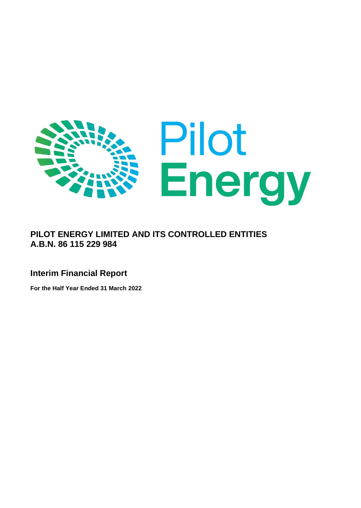

# **PILOT ENERGY LIMITED AND ITS CONTROLLED ENTITIES A.B.N. 86 115 229 984**

## **Interim Financial Report**

**For the Half Year Ended 31 March 2022**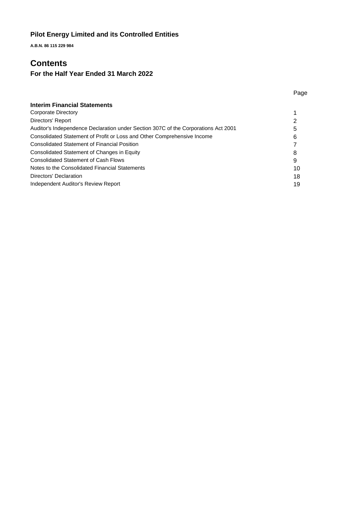**A.B.N. 86 115 229 984**

## **Contents**

# **For the Half Year Ended 31 March 2022**

| <b>Interim Financial Statements</b>                                                |    |
|------------------------------------------------------------------------------------|----|
| Corporate Directory                                                                |    |
| Directors' Report                                                                  |    |
| Auditor's Independence Declaration under Section 307C of the Corporations Act 2001 | 5  |
| Consolidated Statement of Profit or Loss and Other Comprehensive Income            | 6  |
| <b>Consolidated Statement of Financial Position</b>                                |    |
| Consolidated Statement of Changes in Equity                                        | 8  |
| <b>Consolidated Statement of Cash Flows</b>                                        | 9  |
| Notes to the Consolidated Financial Statements                                     | 10 |
| Directors' Declaration                                                             | 18 |
| Independent Auditor's Review Report                                                | 19 |

Page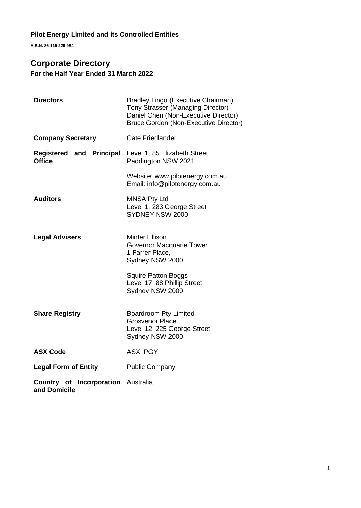**A.B.N. 86 115 229 984**

# **Corporate Directory**

**For the Half Year Ended 31 March 2022**

| <b>Directors</b>                                          | Bradley Lingo (Executive Chairman)<br><b>Tony Strasser (Managing Director)</b><br>Daniel Chen (Non-Executive Director)<br><b>Bruce Gordon (Non-Executive Director)</b> |
|-----------------------------------------------------------|------------------------------------------------------------------------------------------------------------------------------------------------------------------------|
| <b>Company Secretary</b>                                  | <b>Cate Friedlander</b>                                                                                                                                                |
| Registered and Principal<br><b>Office</b>                 | Level 1, 85 Elizabeth Street<br>Paddington NSW 2021                                                                                                                    |
|                                                           | Website: www.pilotenergy.com.au<br>Email: info@pilotenergy.com.au                                                                                                      |
| <b>Auditors</b>                                           | <b>MNSA Pty Ltd</b><br>Level 1, 283 George Street<br>SYDNEY NSW 2000                                                                                                   |
| <b>Legal Advisers</b>                                     | <b>Minter Ellison</b><br>Governor Macquarie Tower<br>1 Farrer Place,<br>Sydney NSW 2000                                                                                |
|                                                           | <b>Squire Patton Boggs</b><br>Level 17, 88 Phillip Street<br>Sydney NSW 2000                                                                                           |
| <b>Share Registry</b>                                     | <b>Boardroom Pty Limited</b><br><b>Grosvenor Place</b><br>Level 12, 225 George Street<br>Sydney NSW 2000                                                               |
| <b>ASX Code</b>                                           | <b>ASX: PGY</b>                                                                                                                                                        |
| <b>Legal Form of Entity</b>                               | <b>Public Company</b>                                                                                                                                                  |
| <b>Country of Incorporation Australia</b><br>and Domicile |                                                                                                                                                                        |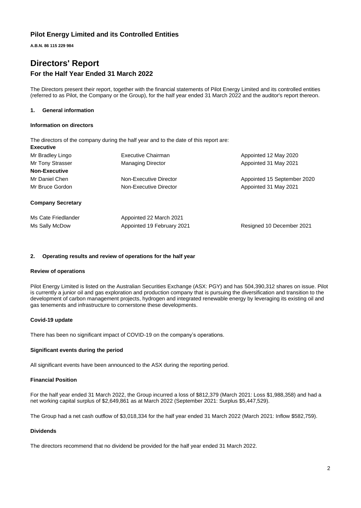**A.B.N. 86 115 229 984**

# **Directors' Report For the Half Year Ended 31 March 2022**

The Directors present their report, together with the financial statements of Pilot Energy Limited and its controlled entities (referred to as Pilot, the Company or the Group), for the half year ended 31 March 2022 and the auditor's report thereon.

### **1. General information**

#### **Information on directors**

The directors of the company during the half year and to the date of this report are: **Executive**

| Mr Bradley Lingo<br>Mr Tony Strasser  | Executive Chairman<br><b>Managing Director</b>        | Appointed 12 May 2020<br>Appointed 31 May 2021 |
|---------------------------------------|-------------------------------------------------------|------------------------------------------------|
| <b>Non-Executive</b>                  |                                                       |                                                |
| Mr Daniel Chen                        | Non-Executive Director                                | Appointed 15 September 2020                    |
| Mr Bruce Gordon                       | Non-Executive Director                                | Appointed 31 May 2021                          |
| <b>Company Secretary</b>              |                                                       |                                                |
| Ms Cate Friedlander<br>Ms Sally McDow | Appointed 22 March 2021<br>Appointed 19 February 2021 | Resigned 10 December 2021                      |

### **2. Operating results and review of operations for the half year**

### **Review of operations**

Pilot Energy Limited is listed on the Australian Securities Exchange (ASX: PGY) and has 504,390,312 shares on issue. Pilot is currently a junior oil and gas exploration and production company that is pursuing the diversification and transition to the development of carbon management projects, hydrogen and integrated renewable energy by leveraging its existing oil and gas tenements and infrastructure to cornerstone these developments.

### **Covid-19 update**

There has been no significant impact of COVID-19 on the company's operations.

### **Significant events during the period**

All significant events have been announced to the ASX during the reporting period.

### **Financial Position**

For the half year ended 31 March 2022, the Group incurred a loss of \$812,379 (March 2021: Loss \$1,988,358) and had a net working capital surplus of \$2,649,861 as at March 2022 (September 2021: Surplus \$5,447,529).

The Group had a net cash outflow of \$3,018,334 for the half year ended 31 March 2022 (March 2021: Inflow \$582,759).

### **Dividends**

The directors recommend that no dividend be provided for the half year ended 31 March 2022.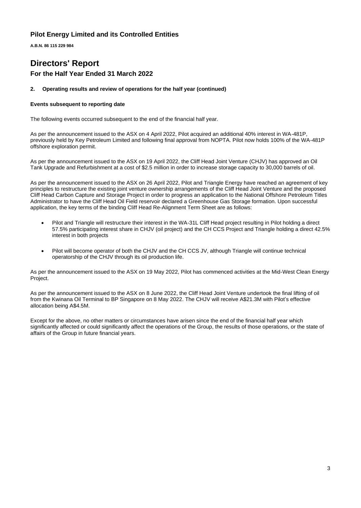**A.B.N. 86 115 229 984**

# **Directors' Report For the Half Year Ended 31 March 2022**

### **2. Operating results and review of operations for the half year (continued)**

### **Events subsequent to reporting date**

The following events occurred subsequent to the end of the financial half year.

As per the announcement issued to the ASX on 4 April 2022, Pilot acquired an additional 40% interest in WA-481P, previously held by Key Petroleum Limited and following final approval from NOPTA. Pilot now holds 100% of the WA-481P offshore exploration permit.

As per the announcement issued to the ASX on 19 April 2022, the Cliff Head Joint Venture (CHJV) has approved an Oil Tank Upgrade and Refurbishment at a cost of \$2.5 million in order to increase storage capacity to 30,000 barrels of oil.

As per the announcement issued to the ASX on 26 April 2022, Pilot and Triangle Energy have reached an agreement of key principles to restructure the existing joint venture ownership arrangements of the Cliff Head Joint Venture and the proposed Cliff Head Carbon Capture and Storage Project in order to progress an application to the National Offshore Petroleum Titles Administrator to have the Cliff Head Oil Field reservoir declared a Greenhouse Gas Storage formation. Upon successful application, the key terms of the binding Cliff Head Re-Alignment Term Sheet are as follows:

- Pilot and Triangle will restructure their interest in the WA-31L Cliff Head project resulting in Pilot holding a direct 57.5% participating interest share in CHJV (oil project) and the CH CCS Project and Triangle holding a direct 42.5% interest in both projects
- Pilot will become operator of both the CHJV and the CH CCS JV, although Triangle will continue technical operatorship of the CHJV through its oil production life.

As per the announcement issued to the ASX on 19 May 2022, Pilot has commenced activities at the Mid-West Clean Energy Project.

As per the announcement issued to the ASX on 8 June 2022, the Cliff Head Joint Venture undertook the final lifting of oil from the Kwinana Oil Terminal to BP Singapore on 8 May 2022. The CHJV will receive A\$21.3M with Pilot's effective allocation being A\$4.5M.

Except for the above, no other matters or circumstances have arisen since the end of the financial half year which significantly affected or could significantly affect the operations of the Group, the results of those operations, or the state of affairs of the Group in future financial years.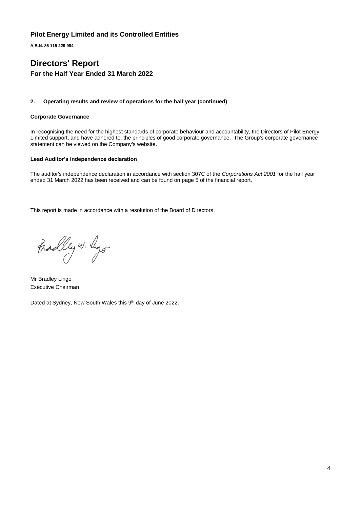**A.B.N. 86 115 229 984**

# **Directors' Report For the Half Year Ended 31 March 2022**

### **2. Operating results and review of operations for the half year (continued)**

### **Corporate Governance**

In recognising the need for the highest standards of corporate behaviour and accountability, the Directors of Pilot Energy Limited support, and have adhered to, the principles of good corporate governance. The Group's corporate governance statement can be viewed on the Company's website.

### **Lead Auditor's Independence declaration**

The auditor's independence declaration in accordance with section 307C of the *Corporations Act 2001* for the half year ended 31 March 2022 has been received and can be found on page 5 of the financial report.

This report is made in accordance with a resolution of the Board of Directors.

Fradley w. ligo

Mr Bradley Lingo Executive Chairman

Dated at Sydney, New South Wales this 9<sup>th</sup> day of June 2022.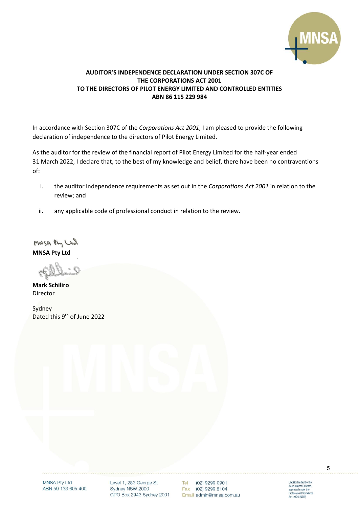

## **AUDITOR'S INDEPENDENCE DECLARATION UNDER SECTION 307C OF THE CORPORATIONS ACT 2001 TO THE DIRECTORS OF PILOT ENERGY LIMITED AND CONTROLLED ENTITIES ABN 86 115 229 984**

In accordance with Section 307C of the *Corporations Act 2001*, I am pleased to provide the following declaration of independence to the directors of Pilot Energy Limited.

As the auditor for the review of the financial report of Pilot Energy Limited for the half-year ended 31 March 2022, I declare that, to the best of my knowledge and belief, there have been no contraventions of:

- i. the auditor independence requirements as set out in the *Corporations Act 2001* in relation to the review; and
- ii. any applicable code of professional conduct in relation to the review.

MNSA Phy Ltd **MNSA Pty Ltd**

**Mark Schiliro** Director

Sydney Dated this 9<sup>th</sup> of June 2022

> **MNSA Pty Ltd** ABN 59 133 605 400

Level 1, 283 George St Sydney NSW 2000 GPO Box 2943 Sydney 2001

Tel (02) 9299 0901 Fax (02) 9299 8104 Email admin@mnsa.com.au Liability limited by the<br>Accountants Scheme,<br>approved under the<br>Professional Standards<br>Act 1994 (NSW)

5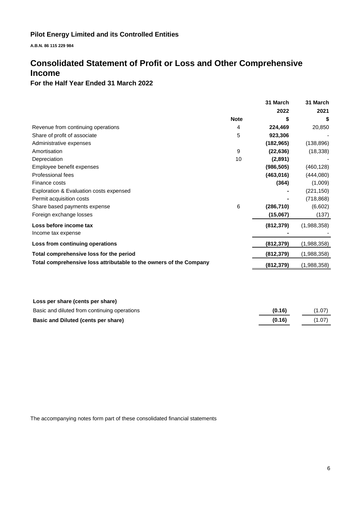**A.B.N. 86 115 229 984**

# **Consolidated Statement of Profit or Loss and Other Comprehensive Income**

## **For the Half Year Ended 31 March 2022**

|                                                                    |             | 31 March   | 31 March    |
|--------------------------------------------------------------------|-------------|------------|-------------|
|                                                                    |             | 2022       | 2021        |
|                                                                    | <b>Note</b> | S          | S           |
| Revenue from continuing operations                                 | 4           | 224,469    | 20,850      |
| Share of profit of associate                                       | 5           | 923,306    |             |
| Administrative expenses                                            |             | (182, 965) | (138, 896)  |
| Amortisation                                                       | 9           | (22, 636)  | (18, 338)   |
| Depreciation                                                       | 10          | (2,891)    |             |
| Employee benefit expenses                                          |             | (986, 505) | (460, 128)  |
| Professional fees                                                  |             | (463, 016) | (444,080)   |
| Finance costs                                                      |             | (364)      | (1,009)     |
| Exploration & Evaluation costs expensed                            |             |            | (221, 150)  |
| Permit acquisition costs                                           |             |            | (718, 868)  |
| Share based payments expense                                       | 6           | (286, 710) | (6,602)     |
| Foreign exchange losses                                            |             | (15,067)   | (137)       |
| Loss before income tax                                             |             | (812, 379) | (1,988,358) |
| Income tax expense                                                 |             |            |             |
| Loss from continuing operations                                    |             | (812,379)  | (1,988,358) |
| Total comprehensive loss for the period                            |             | (812, 379) | (1,988,358) |
| Total comprehensive loss attributable to the owners of the Company |             | (812,379)  | (1,988,358) |
|                                                                    |             |            |             |

| Loss per share (cents per share)             |        |        |
|----------------------------------------------|--------|--------|
| Basic and diluted from continuing operations | (0.16) | (1.07) |
| Basic and Diluted (cents per share)          | (0.16) | (1.07) |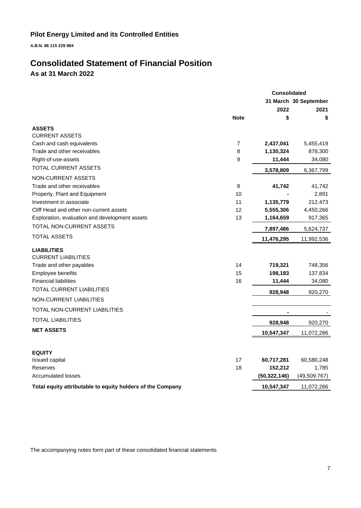**A.B.N. 86 115 229 984**

# **Consolidated Statement of Financial Position**

**As at 31 March 2022**

|                                                            |             | <b>Consolidated</b> |                       |
|------------------------------------------------------------|-------------|---------------------|-----------------------|
|                                                            |             |                     | 31 March 30 September |
|                                                            |             | 2022                | 2021                  |
|                                                            | <b>Note</b> | \$                  | \$                    |
| <b>ASSETS</b>                                              |             |                     |                       |
| <b>CURRENT ASSETS</b>                                      |             |                     |                       |
| Cash and cash equivalents                                  | 7           | 2,437,041           | 5,455,419             |
| Trade and other receivables                                | 8           | 1,130,324           | 878,300               |
| Right-of-use-assets                                        | 9           | 11,444              | 34,080                |
| <b>TOTAL CURRENT ASSETS</b>                                |             | 3,578,809           | 6,367,799             |
| NON-CURRENT ASSETS                                         |             |                     |                       |
| Trade and other receivables                                | 8           | 41,742              | 41,742                |
| Property, Plant and Equipment                              | 10          |                     | 2,891                 |
| Investment in associate                                    | 11          | 1,135,779           | 212,473               |
| Cliff Head and other non-current assets                    | 12          | 5,555,306           | 4,450,266             |
| Exploration, evaluation and development assets             | 13          | 1,164,659           | 917,365               |
| TOTAL NON-CURRENT ASSETS                                   |             | 7,897,486           | 5,624,737             |
| <b>TOTAL ASSETS</b>                                        |             | 11,476,295          | 11,992,536            |
| <b>LIABILITIES</b>                                         |             |                     |                       |
| <b>CURRENT LIABILITIES</b>                                 |             |                     |                       |
| Trade and other payables                                   | 14          | 719,321             | 748,356               |
| Employee benefits                                          | 15          | 198,183             | 137,834               |
| <b>Financial liabilities</b>                               | 16          | 11,444              | 34,080                |
| TOTAL CURRENT LIABILITIES                                  |             | 928,948             | 920,270               |
| NON-CURRENT LIABILITIES                                    |             |                     |                       |
| TOTAL NON-CURRENT LIABILITIES                              |             |                     |                       |
| <b>TOTAL LIABILITIES</b>                                   |             | 928,948             | 920,270               |
| <b>NET ASSETS</b>                                          |             |                     |                       |
|                                                            |             | 10,547,347          | 11,072,266            |
| <b>EQUITY</b>                                              |             |                     |                       |
| Issued capital                                             | 17          | 60,717,281          | 60,580,248            |
| Reserves                                                   | 18          | 152,212             | 1,785                 |
| <b>Accumulated losses</b>                                  |             | (50, 322, 146)      | (49, 509, 767)        |
| Total equity attributable to equity holders of the Company |             | 10,547,347          | 11,072,266            |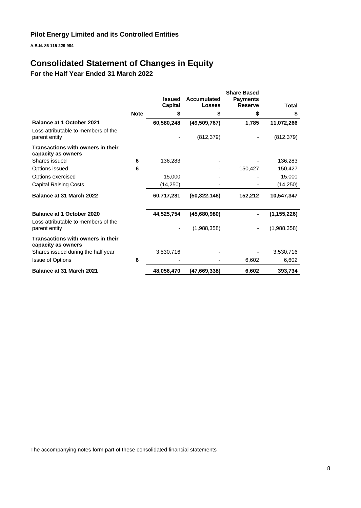**A.B.N. 86 115 229 984**

# **Consolidated Statement of Changes in Equity**

**For the Half Year Ended 31 March 2022**

|                                                                         |             | <b>Issued</b>  | <b>Accumulated</b> | <b>Share Based</b><br><b>Payments</b> |               |
|-------------------------------------------------------------------------|-------------|----------------|--------------------|---------------------------------------|---------------|
|                                                                         |             | <b>Capital</b> | <b>Losses</b>      | <b>Reserve</b>                        | Total         |
|                                                                         | <b>Note</b> | S              | \$                 | \$                                    | \$            |
| <b>Balance at 1 October 2021</b>                                        |             | 60,580,248     | (49, 509, 767)     | 1,785                                 | 11,072,266    |
| Loss attributable to members of the<br>parent entity                    |             |                | (812, 379)         |                                       | (812, 379)    |
| Transactions with owners in their<br>capacity as owners                 |             |                |                    |                                       |               |
| Shares issued                                                           | 6           | 136,283        |                    |                                       | 136,283       |
| Options issued                                                          | 6           |                |                    | 150,427                               | 150,427       |
| Options exercised                                                       |             | 15,000         |                    |                                       | 15,000        |
| <b>Capital Raising Costs</b>                                            |             | (14, 250)      |                    |                                       | (14, 250)     |
| Balance at 31 March 2022                                                |             | 60,717,281     | (50,322,146)       | 152,212                               | 10,547,347    |
| <b>Balance at 1 October 2020</b><br>Loss attributable to members of the |             | 44,525,754     | (45,680,980)       |                                       | (1, 155, 226) |
| parent entity                                                           |             |                | (1,988,358)        |                                       | (1,988,358)   |
| Transactions with owners in their<br>capacity as owners                 |             |                |                    |                                       |               |
| Shares issued during the half year                                      |             | 3,530,716      |                    |                                       | 3,530,716     |
| <b>Issue of Options</b>                                                 | 6           |                |                    | 6,602                                 | 6,602         |
| <b>Balance at 31 March 2021</b>                                         |             | 48.056.470     | (47,669,338)       | 6,602                                 | 393,734       |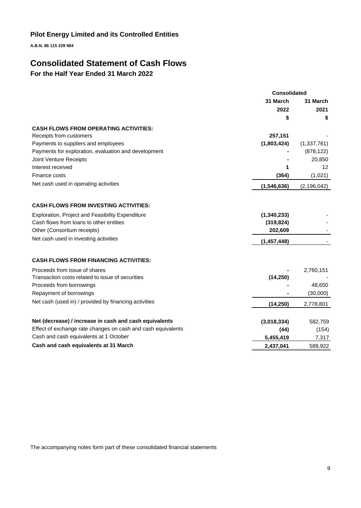**A.B.N. 86 115 229 984**

# **Consolidated Statement of Cash Flows**

**For the Half Year Ended 31 March 2022**

|                                                              | <b>Consolidated</b> |               |
|--------------------------------------------------------------|---------------------|---------------|
|                                                              | 31 March            |               |
|                                                              | 2022                | 2021          |
|                                                              | \$                  | \$            |
| <b>CASH FLOWS FROM OPERATING ACTIVITIES:</b>                 |                     |               |
| Receipts from customers                                      | 257,151             |               |
| Payments to suppliers and employees                          | (1,803,424)         | (1,337,761)   |
| Payments for exploration, evaluation and development         |                     | (878, 122)    |
| Joint Venture Receipts                                       |                     | 20,850        |
| Interest received                                            |                     | 12            |
| Finance costs                                                | (364)               | (1,021)       |
| Net cash used in operating activities                        | (1,546,636)         | (2, 196, 042) |
| <b>CASH FLOWS FROM INVESTING ACTIVITIES:</b>                 |                     |               |
| Exploration, Project and Feasibility Expenditure             | (1,340,233)         |               |
| Cash flows from loans to other entities                      | (319, 824)          |               |
| Other (Consortium receipts)                                  | 202,609             |               |
| Net cash used in investing activities                        | (1, 457, 448)       |               |
| <b>CASH FLOWS FROM FINANCING ACTIVITIES:</b>                 |                     |               |
| Proceeds from issue of shares                                |                     | 2,760,151     |
| Transaction costs related to issue of securities             | (14, 250)           |               |
| Proceeds from borrowings                                     |                     | 48,650        |
| Repayment of borrowings                                      |                     | (30,000)      |
| Net cash (used in) / provided by financing activities        | (14, 250)           | 2,778,801     |
|                                                              |                     |               |
| Net (decrease) / increase in cash and cash equivalents       | (3,018,334)         | 582,759       |
| Effect of exchange rate changes on cash and cash equivalents | (44)                | (154)         |
| Cash and cash equivalents at 1 October                       | 5,455,419           | 7,317         |
| Cash and cash equivalents at 31 March                        | 2,437,041           | 589,922       |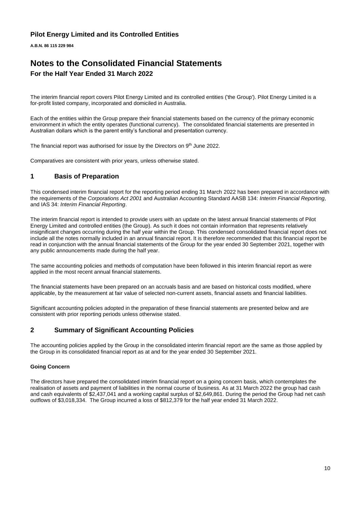**A.B.N. 86 115 229 984**

# **Notes to the Consolidated Financial Statements For the Half Year Ended 31 March 2022**

The interim financial report covers Pilot Energy Limited and its controlled entities ('the Group'). Pilot Energy Limited is a for-profit listed company, incorporated and domiciled in Australia.

Each of the entities within the Group prepare their financial statements based on the currency of the primary economic environment in which the entity operates (functional currency). The consolidated financial statements are presented in Australian dollars which is the parent entity's functional and presentation currency.

The financial report was authorised for issue by the Directors on 9<sup>th</sup> June 2022.

Comparatives are consistent with prior years, unless otherwise stated.

### **1 Basis of Preparation**

This condensed interim financial report for the reporting period ending 31 March 2022 has been prepared in accordance with the requirements of the *Corporations Act 2001* and Australian Accounting Standard AASB 134: *Interim Financial Reporting*, and IAS 34: *Interim Financial Reporting*.

The interim financial report is intended to provide users with an update on the latest annual financial statements of Pilot Energy Limited and controlled entities (the Group). As such it does not contain information that represents relatively insignificant changes occurring during the half year within the Group. This condensed consolidated financial report does not include all the notes normally included in an annual financial report. It is therefore recommended that this financial report be read in conjunction with the annual financial statements of the Group for the year ended 30 September 2021, together with any public announcements made during the half year.

The same accounting policies and methods of computation have been followed in this interim financial report as were applied in the most recent annual financial statements.

The financial statements have been prepared on an accruals basis and are based on historical costs modified, where applicable, by the measurement at fair value of selected non-current assets, financial assets and financial liabilities.

Significant accounting policies adopted in the preparation of these financial statements are presented below and are consistent with prior reporting periods unless otherwise stated.

### **2 Summary of Significant Accounting Policies**

The accounting policies applied by the Group in the consolidated interim financial report are the same as those applied by the Group in its consolidated financial report as at and for the year ended 30 September 2021.

### **Going Concern**

The directors have prepared the consolidated interim financial report on a going concern basis, which contemplates the realisation of assets and payment of liabilities in the normal course of business. As at 31 March 2022 the group had cash and cash equivalents of \$2,437,041 and a working capital surplus of \$2,649,861. During the period the Group had net cash outflows of \$3,018,334. The Group incurred a loss of \$812,379 for the half year ended 31 March 2022.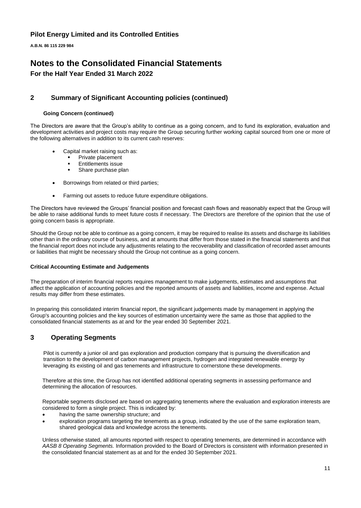**A.B.N. 86 115 229 984**

## **Notes to the Consolidated Financial Statements For the Half Year Ended 31 March 2022**

## **2 Summary of Significant Accounting policies (continued)**

### **Going Concern (continued)**

The Directors are aware that the Group's ability to continue as a going concern, and to fund its exploration, evaluation and development activities and project costs may require the Group securing further working capital sourced from one or more of the following alternatives in addition to its current cash reserves:

- Capital market raising such as:
	- Private placement
	- **Entitlements issue**
	- Share purchase plan
- Borrowings from related or third parties;
- Farming out assets to reduce future expenditure obligations.

The Directors have reviewed the Groups' financial position and forecast cash flows and reasonably expect that the Group will be able to raise additional funds to meet future costs if necessary. The Directors are therefore of the opinion that the use of going concern basis is appropriate.

Should the Group not be able to continue as a going concern, it may be required to realise its assets and discharge its liabilities other than in the ordinary course of business, and at amounts that differ from those stated in the financial statements and that the financial report does not include any adjustments relating to the recoverability and classification of recorded asset amounts or liabilities that might be necessary should the Group not continue as a going concern.

### **Critical Accounting Estimate and Judgements**

The preparation of interim financial reports requires management to make judgements, estimates and assumptions that affect the application of accounting policies and the reported amounts of assets and liabilities, income and expense. Actual results may differ from these estimates.

In preparing this consolidated interim financial report, the significant judgements made by management in applying the Group's accounting policies and the key sources of estimation uncertainty were the same as those that applied to the consolidated financial statements as at and for the year ended 30 September 2021.

### **3 Operating Segments**

Pilot is currently a junior oil and gas exploration and production company that is pursuing the diversification and transition to the development of carbon management projects, hydrogen and integrated renewable energy by leveraging its existing oil and gas tenements and infrastructure to cornerstone these developments.

Therefore at this time, the Group has not identified additional operating segments in assessing performance and determining the allocation of resources.

Reportable segments disclosed are based on aggregating tenements where the evaluation and exploration interests are considered to form a single project. This is indicated by:

- having the same ownership structure; and
- exploration programs targeting the tenements as a group, indicated by the use of the same exploration team, shared geological data and knowledge across the tenements.

Unless otherwise stated, all amounts reported with respect to operating tenements, are determined in accordance with *AASB 8 Operating Segments.* Information provided to the Board of Directors is consistent with information presented in the consolidated financial statement as at and for the ended 30 September 2021.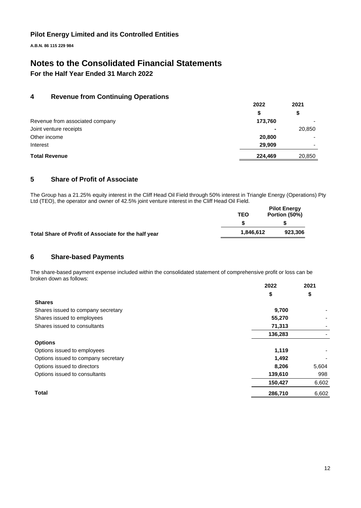**A.B.N. 86 115 229 984**

# **Notes to the Consolidated Financial Statements**

**For the Half Year Ended 31 March 2022**

## **4 Revenue from Continuing Operations**

|                                 | 2022           | 2021   |
|---------------------------------|----------------|--------|
|                                 | S              | \$     |
| Revenue from associated company | 173,760        |        |
| Joint venture receipts          | $\blacksquare$ | 20,850 |
| Other income                    | 20,800         |        |
| Interest                        | 29,909         |        |
| <b>Total Revenue</b>            | 224,469        | 20,850 |

## **5 Share of Profit of Associate**

The Group has a 21.25% equity interest in the Cliff Head Oil Field through 50% interest in Triangle Energy (Operations) Pty Ltd (TEO), the operator and owner of 42.5% joint venture interest in the Cliff Head Oil Field.

|                                                      | <b>TEO</b> | <b>Pilot Energy</b><br>Portion (50%) |
|------------------------------------------------------|------------|--------------------------------------|
|                                                      |            |                                      |
| Total Share of Profit of Associate for the half year | 1.846.612  | 923.306                              |

### **6 Share-based Payments**

The share-based payment expense included within the consolidated statement of comprehensive profit or loss can be broken down as follows:

|                                     | 2022    | 2021  |
|-------------------------------------|---------|-------|
|                                     | \$      | \$    |
| <b>Shares</b>                       |         |       |
| Shares issued to company secretary  | 9,700   |       |
| Shares issued to employees          | 55,270  |       |
| Shares issued to consultants        | 71,313  |       |
|                                     | 136,283 | -     |
| <b>Options</b>                      |         |       |
| Options issued to employees         | 1,119   |       |
| Options issued to company secretary | 1,492   |       |
| Options issued to directors         | 8,206   | 5,604 |
| Options issued to consultants       | 139,610 | 998   |
|                                     | 150,427 | 6,602 |
| <b>Total</b>                        | 286,710 | 6,602 |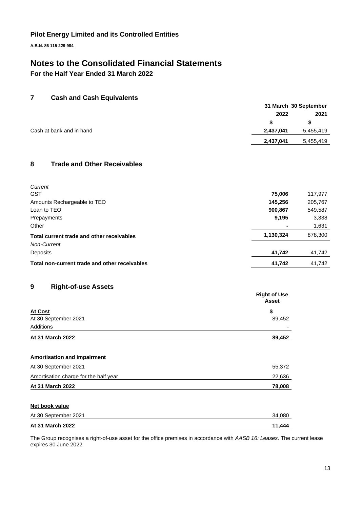**A.B.N. 86 115 229 984**

# **Notes to the Consolidated Financial Statements**

**For the Half Year Ended 31 March 2022**

## **7 Cash and Cash Equivalents**

|                          | 31 March 30 September  |
|--------------------------|------------------------|
|                          | 2022<br>2021           |
|                          | S.                     |
| Cash at bank and in hand | 5,455,419<br>2,437,041 |
|                          | 2,437,041<br>5,455,419 |

## **8 Trade and Other Receivables**

| Current                                       |           |         |
|-----------------------------------------------|-----------|---------|
| <b>GST</b>                                    | 75,006    | 117,977 |
| Amounts Rechargeable to TEO                   | 145,256   | 205,767 |
| Loan to TEO                                   | 900,867   | 549,587 |
| Prepayments                                   | 9,195     | 3,338   |
| Other                                         |           | 1,631   |
| Total current trade and other receivables     | 1,130,324 | 878,300 |
| <b>Non-Current</b>                            |           |         |
| <b>Deposits</b>                               | 41,742    | 41,742  |
| Total non-current trade and other receivables | 41,742    | 41,742  |

## **9 Right-of-use Assets**

| . .                  | <b>Right of Use</b><br>Asset |
|----------------------|------------------------------|
| At Cost              | \$                           |
| At 30 September 2021 | 89,452                       |
| Additions            | -                            |
| At 31 March 2022     | 89,452                       |

# **Amortisation and impairment** At 30 September 2021 55,372 Amortisation charge for the half year 22,636 **At 31 March 2022 78,008**

### **Net book value**

| At 30 September 2021 | 34.080 |
|----------------------|--------|
| At 31 March 2022     | 11.444 |

The Group recognises a right-of-use asset for the office premises in accordance with *AASB 16: Leases.* The current lease expires 30 June 2022.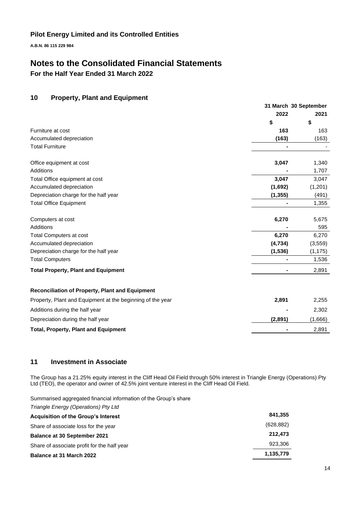**A.B.N. 86 115 229 984**

# **Notes to the Consolidated Financial Statements**

**For the Half Year Ended 31 March 2022**

## **10 Property, Plant and Equipment**

|                                                            | 31 March 30 September |          |
|------------------------------------------------------------|-----------------------|----------|
|                                                            | 2022                  | 2021     |
|                                                            | \$                    | \$       |
| Furniture at cost                                          | 163                   | 163      |
| Accumulated depreciation                                   | (163)                 | (163)    |
| <b>Total Furniture</b>                                     |                       |          |
| Office equipment at cost                                   | 3,047                 | 1,340    |
| Additions                                                  |                       | 1,707    |
| Total Office equipment at cost                             | 3,047                 | 3,047    |
| Accumulated depreciation                                   | (1,692)               | (1,201)  |
| Depreciation charge for the half year                      | (1, 355)              | (491)    |
| <b>Total Office Equipment</b>                              |                       | 1,355    |
| Computers at cost                                          | 6,270                 | 5,675    |
| <b>Additions</b>                                           |                       | 595      |
| <b>Total Computers at cost</b>                             | 6,270                 | 6,270    |
| Accumulated depreciation                                   | (4,734)               | (3, 559) |
| Depreciation charge for the half year                      | (1, 536)              | (1, 175) |
| <b>Total Computers</b>                                     |                       | 1,536    |
| <b>Total Property, Plant and Equipment</b>                 |                       | 2,891    |
| Reconciliation of Property, Plant and Equipment            |                       |          |
| Property, Plant and Equipment at the beginning of the year | 2,891                 | 2,255    |
| Additions during the half year                             |                       | 2,302    |
| Depreciation during the half year                          | (2,891)               | (1,666)  |
| <b>Total, Property, Plant and Equipment</b>                |                       | 2,891    |

## **11 Investment in Associate**

The Group has a 21.25% equity interest in the Cliff Head Oil Field through 50% interest in Triangle Energy (Operations) Pty Ltd (TEO), the operator and owner of 42.5% joint venture interest in the Cliff Head Oil Field.

Summarised aggregated financial information of the Group's share

| <b>Balance at 31 March 2022</b>             | 1,135,779  |
|---------------------------------------------|------------|
| Share of associate profit for the half year | 923.306    |
| <b>Balance at 30 September 2021</b>         | 212,473    |
| Share of associate loss for the year        | (628, 882) |
| <b>Acquisition of the Group's Interest</b>  | 841,355    |
| Triangle Energy (Operations) Pty Ltd        |            |
|                                             |            |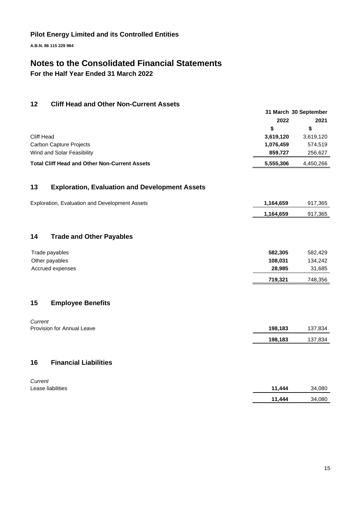**A.B.N. 86 115 229 984**

# **Notes to the Consolidated Financial Statements**

**For the Half Year Ended 31 March 2022**

## **12 Cliff Head and Other Non-Current Assets**

|                                                      | 31 March 30 September |           |  |
|------------------------------------------------------|-----------------------|-----------|--|
|                                                      | 2022                  | 2021      |  |
|                                                      | S                     |           |  |
| Cliff Head                                           | 3,619,120             | 3,619,120 |  |
| <b>Carbon Capture Projects</b>                       | 1,076,459             | 574.519   |  |
| Wind and Solar Feasibility                           | 859.727               | 256,627   |  |
| <b>Total Cliff Head and Other Non-Current Assets</b> | 5.555.306             | 4.450.266 |  |

## **13 Exploration, Evaluation and Development Assets**

| Exploration, Evaluation and Development Assets | 1.164.659 | 917.365 |
|------------------------------------------------|-----------|---------|
|                                                | 1.164.659 | 917.365 |

## **14 Trade and Other Payables**

| Trade payables   | 582.305 | 582.429 |
|------------------|---------|---------|
| Other payables   | 108.031 | 134.242 |
| Accrued expenses | 28.985  | 31,685  |
|                  | 719.321 | 748,356 |

### **15 Employee Benefits**

| Current                    |         |         |
|----------------------------|---------|---------|
| Provision for Annual Leave | 198.183 | 137,834 |
|                            | 198,183 | 137,834 |
|                            |         |         |

## **16 Financial Liabilities**

| Current           |        |        |
|-------------------|--------|--------|
| Lease liabilities | 11.444 | 34,080 |
|                   | 11.444 | 34,080 |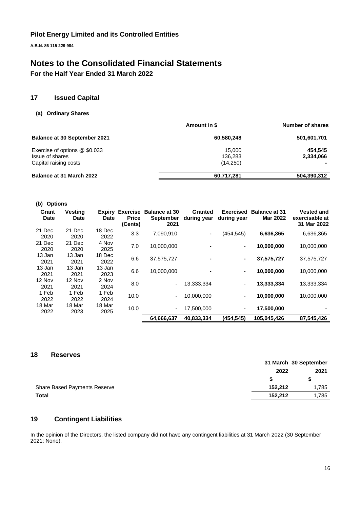**A.B.N. 86 115 229 984**

# **Notes to the Consolidated Financial Statements**

**For the Half Year Ended 31 March 2022**

## **17 Issued Capital**

### **(a) Ordinary Shares**

|                                     | Amount in \$ | <b>Number of shares</b> |  |
|-------------------------------------|--------------|-------------------------|--|
| <b>Balance at 30 September 2021</b> | 60,580,248   | 501,601,701             |  |
| Exercise of options @ \$0.033       | 15.000       | 454.545                 |  |
| Issue of shares                     | 136,283      | 2,334,066               |  |
| Capital raising costs               | (14,250)     |                         |  |
| <b>Balance at 31 March 2022</b>     | 60,717,281   | 504,390,312             |  |

| <b>Options</b><br>(b) |                               |             |                         |                                                                  |                        |                                 |                                         |                                                    |
|-----------------------|-------------------------------|-------------|-------------------------|------------------------------------------------------------------|------------------------|---------------------------------|-----------------------------------------|----------------------------------------------------|
| Grant<br><b>Date</b>  | <b>Vesting</b><br><b>Date</b> | <b>Date</b> | <b>Price</b><br>(Cents) | <b>Expiry Exercise Balance at 30</b><br><b>September</b><br>2021 | Granted<br>during year | <b>Exercised</b><br>during year | <b>Balance at 31</b><br><b>Mar 2022</b> | <b>Vested and</b><br>exercisable at<br>31 Mar 2022 |
| 21 Dec                | 21 Dec                        | 18 Dec      | 3.3                     | 7,090,910                                                        | $\blacksquare$         | (454, 545)                      | 6,636,365                               | 6,636,365                                          |
| 2020                  | 2020                          | 2022        |                         |                                                                  |                        |                                 |                                         |                                                    |
| 21 Dec                | 21 Dec                        | 4 Nov       | 7.0                     | 10,000,000                                                       |                        | ٠                               | 10,000,000                              | 10,000,000                                         |
| 2020                  | 2020                          | 2025        |                         |                                                                  |                        |                                 |                                         |                                                    |
| 13 Jan                | 13 Jan                        | 18 Dec      | 6.6                     | 37,575,727                                                       |                        | ۰                               | 37,575,727                              | 37,575,727                                         |
| 2021                  | 2021                          | 2022        |                         |                                                                  |                        |                                 |                                         |                                                    |
| 13 Jan                | 13 Jan                        | 13 Jan      | 6.6                     | 10,000,000                                                       |                        | ٠                               | 10,000,000                              | 10,000,000                                         |
| 2021                  | 2021                          | 2023        |                         |                                                                  |                        |                                 |                                         |                                                    |
| 12 Nov                | 12 Nov                        | 2 Nov       | 8.0                     |                                                                  | 13,333,334             | ٠                               | 13,333,334                              | 13,333,334                                         |
| 2021                  | 2021                          | 2024        |                         |                                                                  |                        |                                 |                                         |                                                    |
| 1 Feb                 | 1 Feb                         | 1 Feb       |                         |                                                                  |                        |                                 |                                         |                                                    |
| 2022                  | 2022                          | 2024        | 10.0                    |                                                                  | 10.000.000             | ٠                               | 10,000,000                              | 10,000,000                                         |
| 18 Mar                | 18 Mar                        | 18 Mar      |                         |                                                                  |                        |                                 |                                         |                                                    |
| 2022                  | 2023                          | 2025        | 10.0                    |                                                                  | 17,500,000             | ٠                               | 17,500,000                              |                                                    |
|                       |                               |             |                         | 64,666,637                                                       | 40,833,334             | (454, 545)                      | 105,045,426                             | 87,545,426                                         |

### **18 Reserves**

|                                     |         | 31 March 30 September |
|-------------------------------------|---------|-----------------------|
|                                     | 2022    | 2021                  |
|                                     |         |                       |
| <b>Share Based Payments Reserve</b> | 152.212 | 1,785                 |
| Total                               | 152.212 | 1,785                 |

## **19 Contingent Liabilities**

In the opinion of the Directors, the listed company did not have any contingent liabilities at 31 March 2022 (30 September 2021: None).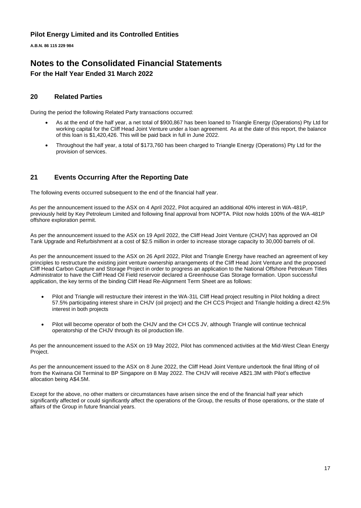**A.B.N. 86 115 229 984**

## **Notes to the Consolidated Financial Statements For the Half Year Ended 31 March 2022**

### **20 Related Parties**

During the period the following Related Party transactions occurred:

- As at the end of the half year, a net total of \$900,867 has been loaned to Triangle Energy (Operations) Pty Ltd for working capital for the Cliff Head Joint Venture under a loan agreement. As at the date of this report, the balance of this loan is \$1,420,426. This will be paid back in full in June 2022.
- Throughout the half year, a total of \$173,760 has been charged to Triangle Energy (Operations) Pty Ltd for the provision of services.

## **21 Events Occurring After the Reporting Date**

The following events occurred subsequent to the end of the financial half year.

As per the announcement issued to the ASX on 4 April 2022, Pilot acquired an additional 40% interest in WA-481P, previously held by Key Petroleum Limited and following final approval from NOPTA. Pilot now holds 100% of the WA-481P offshore exploration permit.

As per the announcement issued to the ASX on 19 April 2022, the Cliff Head Joint Venture (CHJV) has approved an Oil Tank Upgrade and Refurbishment at a cost of \$2.5 million in order to increase storage capacity to 30,000 barrels of oil.

As per the announcement issued to the ASX on 26 April 2022, Pilot and Triangle Energy have reached an agreement of key principles to restructure the existing joint venture ownership arrangements of the Cliff Head Joint Venture and the proposed Cliff Head Carbon Capture and Storage Project in order to progress an application to the National Offshore Petroleum Titles Administrator to have the Cliff Head Oil Field reservoir declared a Greenhouse Gas Storage formation. Upon successful application, the key terms of the binding Cliff Head Re-Alignment Term Sheet are as follows:

- Pilot and Triangle will restructure their interest in the WA-31L Cliff Head project resulting in Pilot holding a direct 57.5% participating interest share in CHJV (oil project) and the CH CCS Project and Triangle holding a direct 42.5% interest in both projects
- Pilot will become operator of both the CHJV and the CH CCS JV, although Triangle will continue technical operatorship of the CHJV through its oil production life.

As per the announcement issued to the ASX on 19 May 2022, Pilot has commenced activities at the Mid-West Clean Energy Project.

As per the announcement issued to the ASX on 8 June 2022, the Cliff Head Joint Venture undertook the final lifting of oil from the Kwinana Oil Terminal to BP Singapore on 8 May 2022. The CHJV will receive A\$21.3M with Pilot's effective allocation being A\$4.5M.

Except for the above, no other matters or circumstances have arisen since the end of the financial half year which significantly affected or could significantly affect the operations of the Group, the results of those operations, or the state of affairs of the Group in future financial years.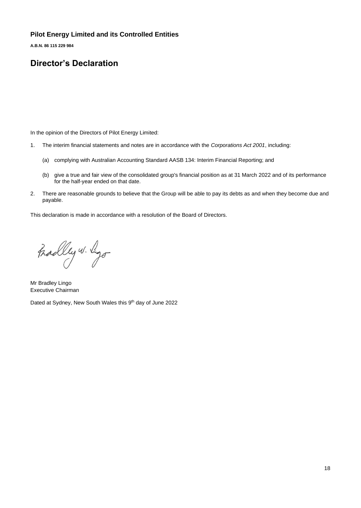**A.B.N. 86 115 229 984**

# **Director's Declaration**

In the opinion of the Directors of Pilot Energy Limited:

- 1. The interim financial statements and notes are in accordance with the *Corporations Act 2001*, including:
	- (a) complying with Australian Accounting Standard AASB 134: Interim Financial Reporting; and
	- (b) give a true and fair view of the consolidated group's financial position as at 31 March 2022 and of its performance for the half-year ended on that date.
- 2. There are reasonable grounds to believe that the Group will be able to pay its debts as and when they become due and payable.

This declaration is made in accordance with a resolution of the Board of Directors.

Fradley w. Ligo

Mr Bradley Lingo Executive Chairman

Dated at Sydney, New South Wales this 9<sup>th</sup> day of June 2022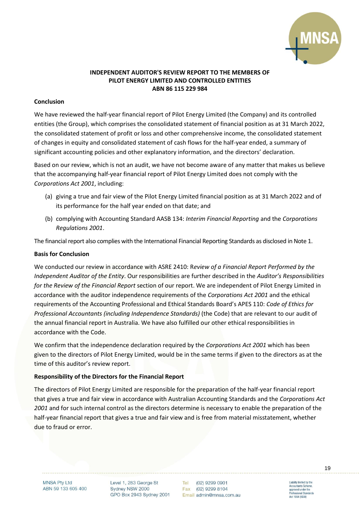

## **INDEPENDENT AUDITOR'S REVIEW REPORT TO THE MEMBERS OF PILOT ENERGY LIMITED AND CONTROLLED ENTITIES ABN 86 115 229 984**

### **Conclusion**

We have reviewed the half-year financial report of Pilot Energy Limited (the Company) and its controlled entities (the Group), which comprises the consolidated statement of financial position as at 31 March 2022, the consolidated statement of profit or loss and other comprehensive income, the consolidated statement of changes in equity and consolidated statement of cash flows for the half-year ended, a summary of significant accounting policies and other explanatory information, and the directors' declaration.

Based on our review, which is not an audit, we have not become aware of any matter that makes us believe that the accompanying half-year financial report of Pilot Energy Limited does not comply with the *Corporations Act 2001*, including:

- (a) giving a true and fair view of the Pilot Energy Limited financial position as at 31 March 2022 and of its performance for the half year ended on that date; and
- (b) complying with Accounting Standard AASB 134: *Interim Financial Reporting* and the *Corporations Regulations 2001*.

The financial report also complies with the International Financial Reporting Standards as disclosed in Note 1.

### **Basis for Conclusion**

We conducted our review in accordance with ASRE 2410: R*eview of a Financial Report Performed by the Independent Auditor of the Entity*. Our responsibilities are further described in the *Auditor's Responsibilities for the Review of the Financial Report* section of our report. We are independent of Pilot Energy Limited in accordance with the auditor independence requirements of the *Corporations Act 2001* and the ethical requirements of the Accounting Professional and Ethical Standards Board's APES 110: *Code of Ethics for Professional Accountants (including Independence Standards)* (the Code) that are relevant to our audit of the annual financial report in Australia. We have also fulfilled our other ethical responsibilities in accordance with the Code.

We confirm that the independence declaration required by the *Corporations Act 2001* which has been given to the directors of Pilot Energy Limited, would be in the same terms if given to the directors as at the time of this auditor's review report.

### **Responsibility of the Directors for the Financial Report**

The directors of Pilot Energy Limited are responsible for the preparation of the half-year financial report that gives a true and fair view in accordance with Australian Accounting Standards and the *Corporations Act 2001* and for such internal control as the directors determine is necessary to enable the preparation of the half-year financial report that gives a true and fair view and is free from material misstatement, whether due to fraud or error.

**MNSA Pty Ltd** ABN 59 133 605 400 Level 1, 283 George St Sydney NSW 2000 GPO Box 2943 Sydney 2001

Tel (02) 9299 0901 Fax (02) 9299 8104 Email admin@mnsa.com.au Liability limited by the<br>Accountants Scheme,<br>approved under the fessional Standards

Act 1994 (NSW)